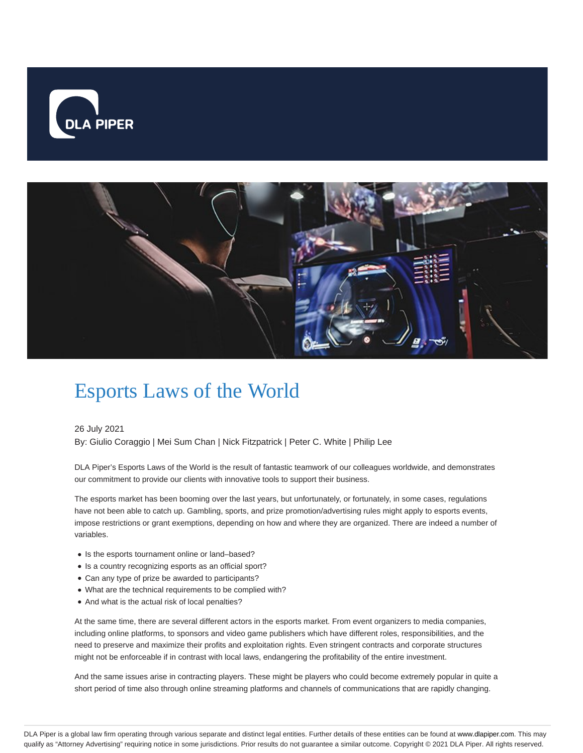



# Esports Laws of the World

26 July 2021

By: Giulio Coraggio | Mei Sum Chan | Nick Fitzpatrick | Peter C. White | Philip Lee

DLA Piper's Esports Laws of the World is the result of fantastic teamwork of our colleagues worldwide, and demonstrates our commitment to provide our clients with innovative tools to support their business.

The esports market has been booming over the last years, but unfortunately, or fortunately, in some cases, regulations have not been able to catch up. Gambling, sports, and prize promotion/advertising rules might apply to esports events, impose restrictions or grant exemptions, depending on how and where they are organized. There are indeed a number of variables.

- Is the esports tournament online or land-based?
- Is a country recognizing esports as an official sport?
- Can any type of prize be awarded to participants?
- What are the technical requirements to be complied with?
- And what is the actual risk of local penalties?

At the same time, there are several different actors in the esports market. From event organizers to media companies, including online platforms, to sponsors and video game publishers which have different roles, responsibilities, and the need to preserve and maximize their profits and exploitation rights. Even stringent contracts and corporate structures might not be enforceable if in contrast with local laws, endangering the profitability of the entire investment.

And the same issues arise in contracting players. These might be players who could become extremely popular in quite a short period of time also through online streaming platforms and channels of communications that are rapidly changing.